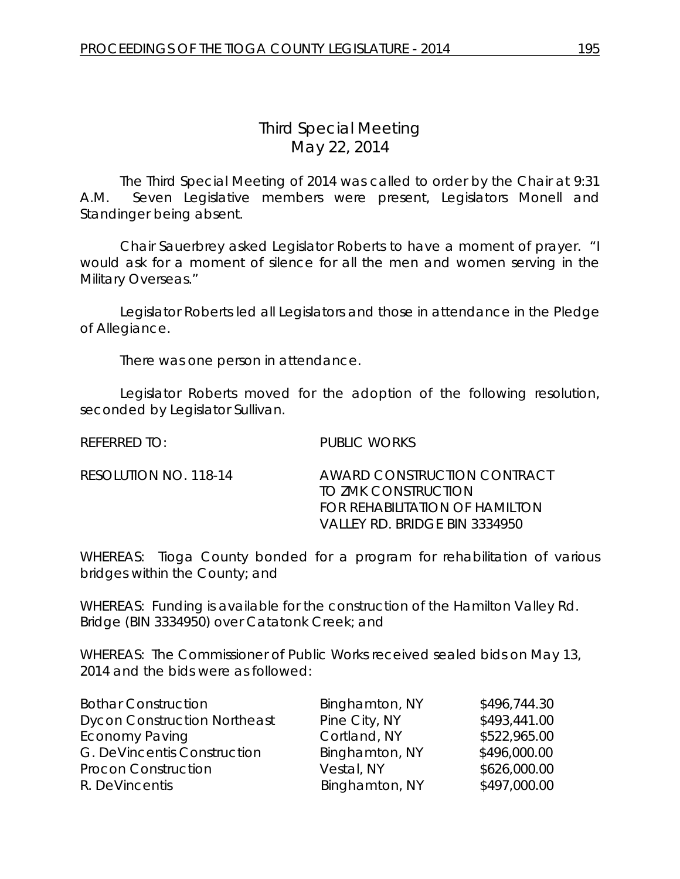## *Third Special Meeting* May 22, 2014

The Third Special Meeting of 2014 was called to order by the Chair at 9:31 A.M. Seven Legislative members were present, Legislators Monell and Standinger being absent.

Chair Sauerbrey asked Legislator Roberts to have a moment of prayer. "I would ask for a moment of silence for all the men and women serving in the Military Overseas."

Legislator Roberts led all Legislators and those in attendance in the Pledge of Allegiance.

There was one person in attendance.

Legislator Roberts moved for the adoption of the following resolution, seconded by Legislator Sullivan.

| <b>REFERRED TO:</b> | <b>PUBLIC WORKS</b> |
|---------------------|---------------------|

RESOLUTION NO. 118-14 AWARD CONSTRUCTION CONTRACT TO ZMK CONSTRUCTION FOR REHABILITATION OF HAMILTON VALLEY RD. BRIDGE BIN 3334950

WHEREAS: Tioga County bonded for a program for rehabilitation of various bridges within the County; and

WHEREAS: Funding is available for the construction of the Hamilton Valley Rd. Bridge (BIN 3334950) over Catatonk Creek; and

WHEREAS: The Commissioner of Public Works received sealed bids on May 13, 2014 and the bids were as followed:

| <b>Bothar Construction</b>          | Binghamton, NY | \$496,744.30 |
|-------------------------------------|----------------|--------------|
| <b>Dycon Construction Northeast</b> | Pine City, NY  | \$493,441.00 |
| <b>Economy Paving</b>               | Cortland, NY   | \$522,965.00 |
| G. DeVincentis Construction         | Binghamton, NY | \$496,000.00 |
| <b>Procon Construction</b>          | Vestal, NY     | \$626,000.00 |
| R. DeVincentis                      | Binghamton, NY | \$497,000.00 |